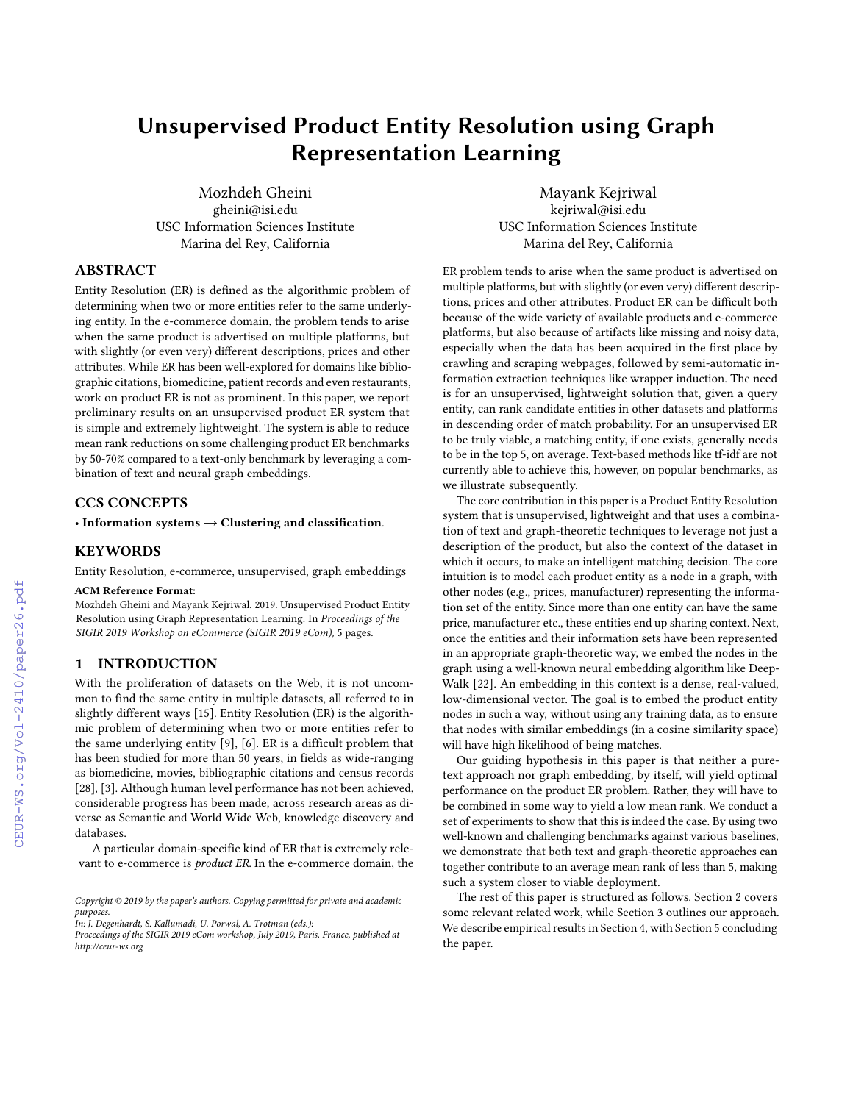# Unsupervised Product Entity Resolution using Graph Representation Learning

Mozhdeh Gheini gheini@isi.edu USC Information Sciences Institute Marina del Rey, California

Mayank Kejriwal kejriwal@isi.edu USC Information Sciences Institute Marina del Rey, California

# ABSTRACT

Entity Resolution (ER) is defined as the algorithmic problem of determining when two or more entities refer to the same underlying entity. In the e-commerce domain, the problem tends to arise when the same product is advertised on multiple platforms, but with slightly (or even very) different descriptions, prices and other attributes. While ER has been well-explored for domains like bibliographic citations, biomedicine, patient records and even restaurants, work on product ER is not as prominent. In this paper, we report preliminary results on an unsupervised product ER system that is simple and extremely lightweight. The system is able to reduce mean rank reductions on some challenging product ER benchmarks by 50-70% compared to a text-only benchmark by leveraging a combination of text and neural graph embeddings.

## CCS CONCEPTS

• Information systems  $\rightarrow$  Clustering and classification.

### KEYWORDS

Entity Resolution, e-commerce, unsupervised, graph embeddings

#### ACM Reference Format:

Mozhdeh Gheini and Mayank Kejriwal. 2019. Unsupervised Product Entity Resolution using Graph Representation Learning. In *Proceedings of the SIGIR 2019 Workshop on eCommerce (SIGIR 2019 eCom),* [5](#page--1-0) pages.

## 1 INTRODUCTION

With the proliferation of datasets on the Web, it is not uncommon to find the same entity in multiple datasets, all referred to in slightly different ways [\[15\].](#page--1-1) Entity Resolution (ER) is the algorithmic problem of determining when two or more entities refer to the same underlying entity [\[9\],](#page--1-2) [\[6\].](#page--1-3) ER is a difficult problem that has been studied for more than 50 years, in fields as wide-ranging as biomedicine, movies, bibliographic citations and census records [\[28\]](#page--1-4), [\[3\].](#page--1-5) Although human level performance has not been achieved, considerable progress has been made, across research areas as diverse as Semantic and World Wide Web, knowledge discovery and databases.

A particular domain-specific kind of ER that is extremely relevant to e-commerce is product ER. In the e-commerce domain, the ER problem tends to arise when the same product is advertised on multiple platforms, but with slightly (or even very) different descriptions, prices and other attributes. Product ER can be difficult both because of the wide variety of available products and e-commerce platforms, but also because of artifacts like missing and noisy data, especially when the data has been acquired in the first place by crawling and scraping webpages, followed by semi-automatic information extraction techniques like wrapper induction. The need is for an unsupervised, lightweight solution that, given a query entity, can rank candidate entities in other datasets and platforms in descending order of match probability. For an unsupervised ER to be truly viable, a matching entity, if one exists, generally needs to be in the top 5, on average. Text-based methods like tf-idf are not currently able to achieve this, however, on popular benchmarks, as we illustrate subsequently.

The core contribution in this paper is a Product Entity Resolution system that is unsupervised, lightweight and that uses a combination of text and graph-theoretic techniques to leverage not just a description of the product, but also the context of the dataset in which it occurs, to make an intelligent matching decision. The core intuition is to model each product entity as a node in a graph, with other nodes (e.g., prices, manufacturer) representing the information set of the entity. Since more than one entity can have the same price, manufacturer etc., these entities end up sharing context. Next, once the entities and their information sets have been represented in an appropriate graph-theoretic way, we embed the nodes in the graph using a well-known neural embedding algorithm like Deep-Walk [\[22\]](#page--1-6). An embedding in this context is a dense, real-valued, low-dimensional vector. The goal is to embed the product entity nodes in such a way, without using any training data, as to ensure that nodes with similar embeddings (in a cosine similarity space) will have high likelihood of being matches.

Our guiding hypothesis in this paper is that neither a puretext approach nor graph embedding, by itself, will yield optimal performance on the product ER problem. Rather, they will have to be combined in some way to yield a low mean rank. We conduct a set of experiments to show that this is indeed the case. By using two well-known and challenging benchmarks against various baselines, we demonstrate that both text and graph-theoretic approaches can together contribute to an average mean rank of less than 5, making such a system closer to viable deployment.

The rest of this paper is structured as follows. Section [2](#page--1-7) covers some relevant related work, while Section [3](#page--1-8) outlines our approach. We describe empirical results in Section [4,](#page--1-9) with Section [5](#page--1-10) concluding the paper.

*Copyright © 2019 by the paper's authors. Copying permitted for private and academic purposes.*

*In: J. Degenhardt, S. Kallumadi, U. Porwal, A. Trotman (eds.):*

*Proceedings of the SIGIR 2019 eCom workshop, July 2019, Paris, France, published at http://ceur-ws.org*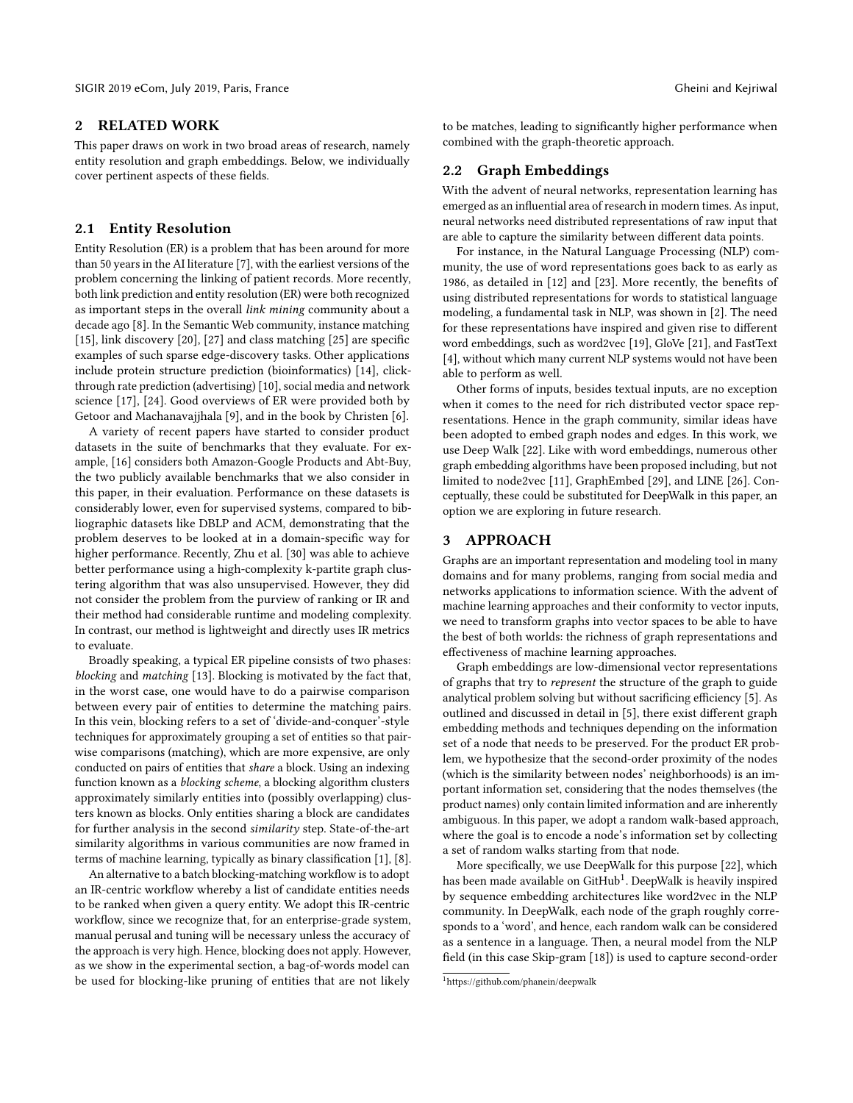# 2 RELATED WORK

This paper draws on work in two broad areas of research, namely entity resolution and graph embeddings. Below, we individually cover pertinent aspects of these fields.

## 2.1 Entity Resolution

Entity Resolution (ER) is a problem that has been around for more than 50 years in the AI literature [\[7\]](#page-4-0), with the earliest versions of the problem concerning the linking of patient records. More recently, both link prediction and entity resolution (ER) were both recognized as important steps in the overall link mining community about a decade ago [\[8\]](#page-4-1). In the Semantic Web community, instance matching [\[15\]](#page-4-2), link discovery [\[20\]](#page-4-3), [\[27\]](#page-4-4) and class matching [\[25\]](#page-4-5) are specific examples of such sparse edge-discovery tasks. Other applications include protein structure prediction (bioinformatics) [\[14\]](#page-4-6), clickthrough rate prediction (advertising) [\[10\]](#page-4-7), social media and network science [\[17\]](#page-4-8), [\[24\]](#page-4-9). Good overviews of ER were provided both by Getoor and Machanavajjhala [\[9\]](#page-4-10), and in the book by Christen [\[6\]](#page-4-11).

A variety of recent papers have started to consider product datasets in the suite of benchmarks that they evaluate. For example, [\[16\]](#page-4-12) considers both Amazon-Google Products and Abt-Buy, the two publicly available benchmarks that we also consider in this paper, in their evaluation. Performance on these datasets is considerably lower, even for supervised systems, compared to bibliographic datasets like DBLP and ACM, demonstrating that the problem deserves to be looked at in a domain-specific way for higher performance. Recently, Zhu et al. [\[30\]](#page-4-13) was able to achieve better performance using a high-complexity k-partite graph clustering algorithm that was also unsupervised. However, they did not consider the problem from the purview of ranking or IR and their method had considerable runtime and modeling complexity. In contrast, our method is lightweight and directly uses IR metrics to evaluate.

Broadly speaking, a typical ER pipeline consists of two phases: blocking and matching [\[13\]](#page-4-14). Blocking is motivated by the fact that, in the worst case, one would have to do a pairwise comparison between every pair of entities to determine the matching pairs. In this vein, blocking refers to a set of 'divide-and-conquer'-style techniques for approximately grouping a set of entities so that pairwise comparisons (matching), which are more expensive, are only conducted on pairs of entities that share a block. Using an indexing function known as a blocking scheme, a blocking algorithm clusters approximately similarly entities into (possibly overlapping) clusters known as blocks. Only entities sharing a block are candidates for further analysis in the second similarity step. State-of-the-art similarity algorithms in various communities are now framed in terms of machine learning, typically as binary classification [\[1\]](#page-4-15), [\[8\]](#page-4-1).

An alternative to a batch blocking-matching workflow is to adopt an IR-centric workflow whereby a list of candidate entities needs to be ranked when given a query entity. We adopt this IR-centric workflow, since we recognize that, for an enterprise-grade system, manual perusal and tuning will be necessary unless the accuracy of the approach is very high. Hence, blocking does not apply. However, as we show in the experimental section, a bag-of-words model can be used for blocking-like pruning of entities that are not likely

to be matches, leading to significantly higher performance when combined with the graph-theoretic approach.

# 2.2 Graph Embeddings

With the advent of neural networks, representation learning has emerged as an influential area of research in modern times. As input, neural networks need distributed representations of raw input that are able to capture the similarity between different data points.

For instance, in the Natural Language Processing (NLP) community, the use of word representations goes back to as early as 1986, as detailed in [\[12\]](#page-4-16) and [\[23\]](#page-4-17). More recently, the benefits of using distributed representations for words to statistical language modeling, a fundamental task in NLP, was shown in [\[2\]](#page-4-18). The need for these representations have inspired and given rise to different word embeddings, such as word2vec [\[19\]](#page-4-19), GloVe [\[21\]](#page-4-20), and FastText [\[4\]](#page-4-21), without which many current NLP systems would not have been able to perform as well.

Other forms of inputs, besides textual inputs, are no exception when it comes to the need for rich distributed vector space representations. Hence in the graph community, similar ideas have been adopted to embed graph nodes and edges. In this work, we use Deep Walk [\[22\]](#page-4-22). Like with word embeddings, numerous other graph embedding algorithms have been proposed including, but not limited to node2vec [\[11\]](#page-4-23), GraphEmbed [\[29\]](#page-4-24), and LINE [\[26\]](#page-4-25). Conceptually, these could be substituted for DeepWalk in this paper, an option we are exploring in future research.

## 3 APPROACH

Graphs are an important representation and modeling tool in many domains and for many problems, ranging from social media and networks applications to information science. With the advent of machine learning approaches and their conformity to vector inputs, we need to transform graphs into vector spaces to be able to have the best of both worlds: the richness of graph representations and effectiveness of machine learning approaches.

Graph embeddings are low-dimensional vector representations of graphs that try to represent the structure of the graph to guide analytical problem solving but without sacrificing efficiency [\[5\]](#page-4-26). As outlined and discussed in detail in [\[5\]](#page-4-26), there exist different graph embedding methods and techniques depending on the information set of a node that needs to be preserved. For the product ER problem, we hypothesize that the second-order proximity of the nodes (which is the similarity between nodes' neighborhoods) is an important information set, considering that the nodes themselves (the product names) only contain limited information and are inherently ambiguous. In this paper, we adopt a random walk-based approach, where the goal is to encode a node's information set by collecting a set of random walks starting from that node.

More specifically, we use DeepWalk for this purpose [\[22\]](#page-4-22), which has been made available on  $\mathrm{GitHub}^{1}$  $\mathrm{GitHub}^{1}$  $\mathrm{GitHub}^{1}$ . DeepWalk is heavily inspired by sequence embedding architectures like word2vec in the NLP community. In DeepWalk, each node of the graph roughly corresponds to a 'word', and hence, each random walk can be considered as a sentence in a language. Then, a neural model from the NLP field (in this case Skip-gram [\[18\]](#page-4-27)) is used to capture second-order

<span id="page-1-0"></span><sup>1</sup><https://github.com/phanein/deepwalk>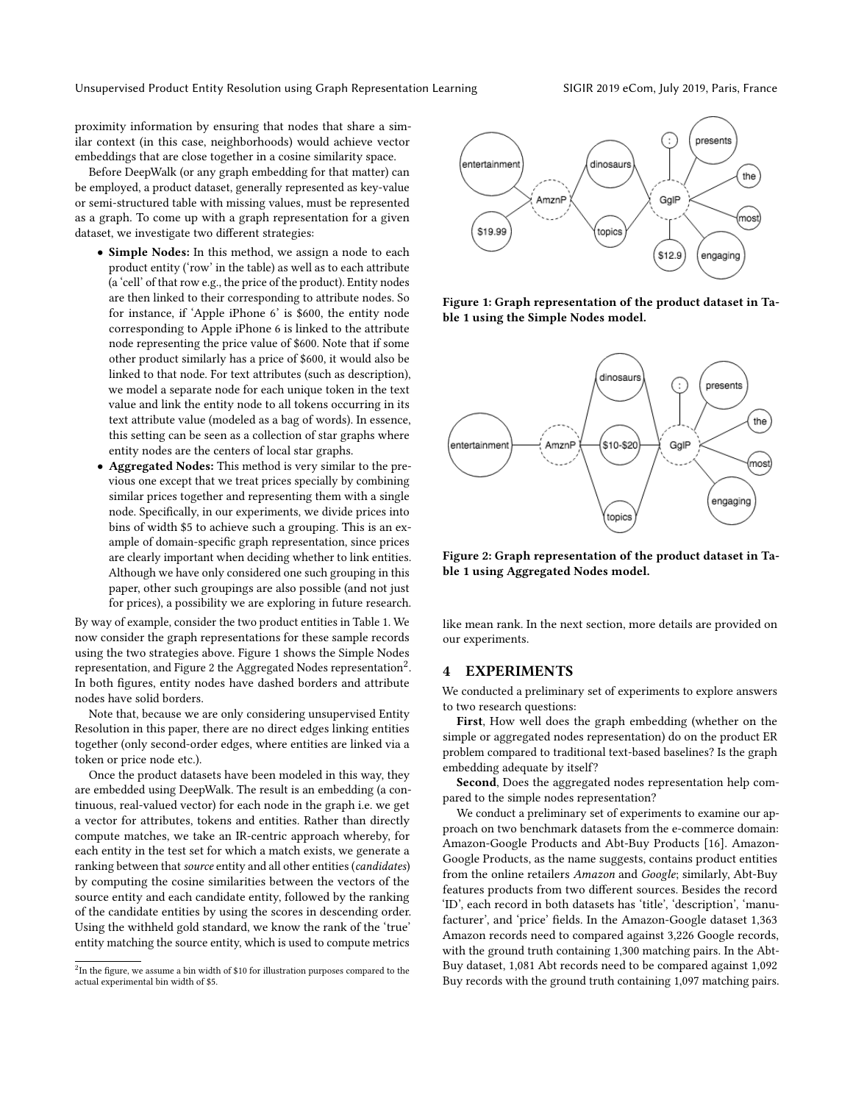Unsupervised Product Entity Resolution using Graph Representation Learning SIGIR 2019 eCom, July 2019, Paris, France

proximity information by ensuring that nodes that share a similar context (in this case, neighborhoods) would achieve vector embeddings that are close together in a cosine similarity space.

Before DeepWalk (or any graph embedding for that matter) can be employed, a product dataset, generally represented as key-value or semi-structured table with missing values, must be represented as a graph. To come up with a graph representation for a given dataset, we investigate two different strategies:

- Simple Nodes: In this method, we assign a node to each product entity ('row' in the table) as well as to each attribute (a 'cell' of that row e.g., the price of the product). Entity nodes are then linked to their corresponding to attribute nodes. So for instance, if 'Apple iPhone 6' is \$600, the entity node corresponding to Apple iPhone 6 is linked to the attribute node representing the price value of \$600. Note that if some other product similarly has a price of \$600, it would also be linked to that node. For text attributes (such as description), we model a separate node for each unique token in the text value and link the entity node to all tokens occurring in its text attribute value (modeled as a bag of words). In essence, this setting can be seen as a collection of star graphs where entity nodes are the centers of local star graphs.
- Aggregated Nodes: This method is very similar to the previous one except that we treat prices specially by combining similar prices together and representing them with a single node. Specifically, in our experiments, we divide prices into bins of width \$5 to achieve such a grouping. This is an example of domain-specific graph representation, since prices are clearly important when deciding whether to link entities. Although we have only considered one such grouping in this paper, other such groupings are also possible (and not just for prices), a possibility we are exploring in future research.

By way of example, consider the two product entities in Table [1.](#page-3-0) We now consider the graph representations for these sample records using the two strategies above. Figure [1](#page-2-0) shows the Simple Nodes representation, and Figure [2](#page-2-1) the Aggregated Nodes representation<sup>[2](#page-2-2)</sup>. In both figures, entity nodes have dashed borders and attribute nodes have solid borders.

Note that, because we are only considering unsupervised Entity Resolution in this paper, there are no direct edges linking entities together (only second-order edges, where entities are linked via a token or price node etc.).

Once the product datasets have been modeled in this way, they are embedded using DeepWalk. The result is an embedding (a continuous, real-valued vector) for each node in the graph i.e. we get a vector for attributes, tokens and entities. Rather than directly compute matches, we take an IR-centric approach whereby, for each entity in the test set for which a match exists, we generate a ranking between that source entity and all other entities (candidates) by computing the cosine similarities between the vectors of the source entity and each candidate entity, followed by the ranking of the candidate entities by using the scores in descending order. Using the withheld gold standard, we know the rank of the 'true' entity matching the source entity, which is used to compute metrics

<span id="page-2-2"></span>

<span id="page-2-0"></span>

Figure 1: Graph representation of the product dataset in Table [1](#page-3-0) using the Simple Nodes model.

<span id="page-2-1"></span>

Figure 2: Graph representation of the product dataset in Table [1](#page-3-0) using Aggregated Nodes model.

like mean rank. In the next section, more details are provided on our experiments.

## 4 EXPERIMENTS

We conducted a preliminary set of experiments to explore answers to two research questions:

First, How well does the graph embedding (whether on the simple or aggregated nodes representation) do on the product ER problem compared to traditional text-based baselines? Is the graph embedding adequate by itself?

Second, Does the aggregated nodes representation help compared to the simple nodes representation?

We conduct a preliminary set of experiments to examine our approach on two benchmark datasets from the e-commerce domain: Amazon-Google Products and Abt-Buy Products [\[16\]](#page-4-12). Amazon-Google Products, as the name suggests, contains product entities from the online retailers Amazon and Google; similarly, Abt-Buy features products from two different sources. Besides the record 'ID', each record in both datasets has 'title', 'description', 'manufacturer', and 'price' fields. In the Amazon-Google dataset 1,363 Amazon records need to compared against 3,226 Google records, with the ground truth containing 1,300 matching pairs. In the Abt-Buy dataset, 1,081 Abt records need to be compared against 1,092 Buy records with the ground truth containing 1,097 matching pairs.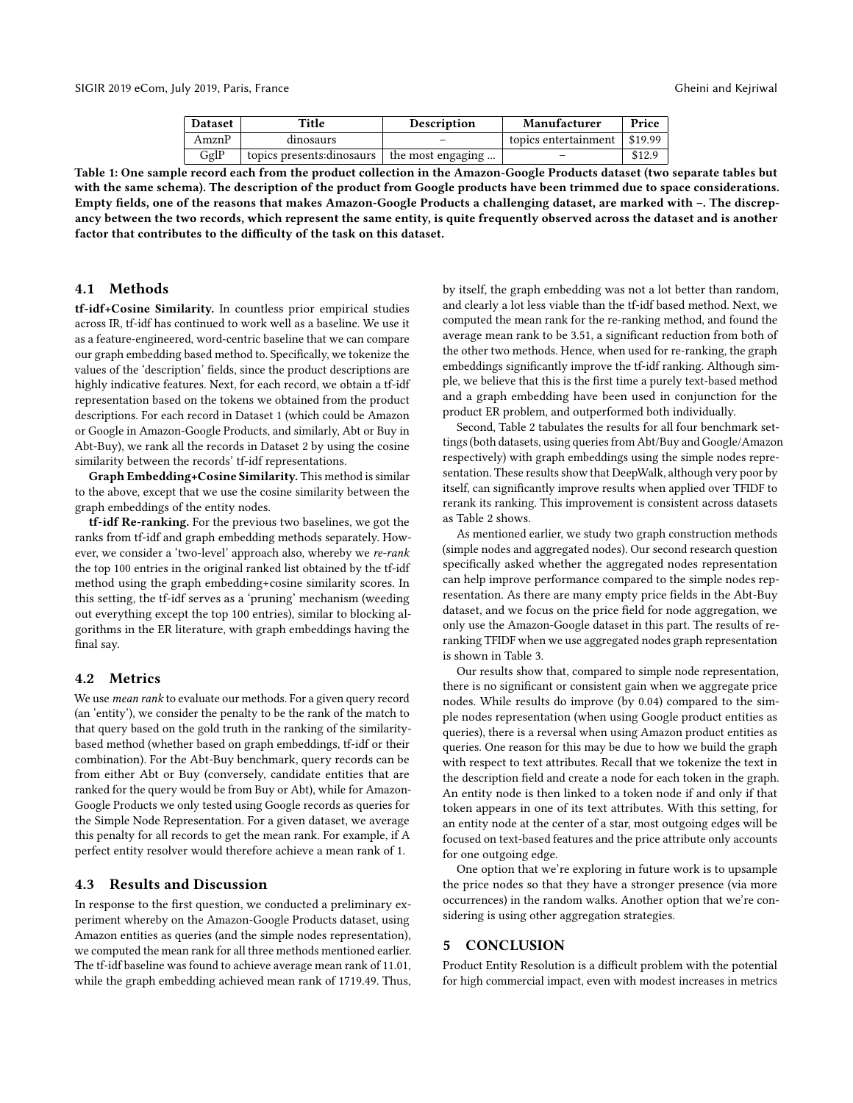| <b>Dataset</b> | Title                      | <b>Description</b> | Manufacturer         | Price   |
|----------------|----------------------------|--------------------|----------------------|---------|
| AmznP          | dinosaurs                  |                    | topics entertainment | \$19.99 |
| GglP           | topics presents: dinosaurs | the most engaging  |                      | \$12.9  |

<span id="page-3-0"></span>Table 1: One sample record each from the product collection in the Amazon-Google Products dataset (two separate tables but with the same schema). The description of the product from Google products have been trimmed due to space considerations. Empty fields, one of the reasons that makes Amazon-Google Products a challenging dataset, are marked with –. The discrepancy between the two records, which represent the same entity, is quite frequently observed across the dataset and is another factor that contributes to the difficulty of the task on this dataset.

## 4.1 Methods

tf-idf+Cosine Similarity. In countless prior empirical studies across IR, tf-idf has continued to work well as a baseline. We use it as a feature-engineered, word-centric baseline that we can compare our graph embedding based method to. Specifically, we tokenize the values of the 'description' fields, since the product descriptions are highly indicative features. Next, for each record, we obtain a tf-idf representation based on the tokens we obtained from the product descriptions. For each record in Dataset 1 (which could be Amazon or Google in Amazon-Google Products, and similarly, Abt or Buy in Abt-Buy), we rank all the records in Dataset 2 by using the cosine similarity between the records' tf-idf representations.

Graph Embedding+Cosine Similarity. This method is similar to the above, except that we use the cosine similarity between the graph embeddings of the entity nodes.

tf-idf Re-ranking. For the previous two baselines, we got the ranks from tf-idf and graph embedding methods separately. However, we consider a 'two-level' approach also, whereby we re-rank the top 100 entries in the original ranked list obtained by the tf-idf method using the graph embedding+cosine similarity scores. In this setting, the tf-idf serves as a 'pruning' mechanism (weeding out everything except the top 100 entries), similar to blocking algorithms in the ER literature, with graph embeddings having the final say.

#### 4.2 Metrics

We use *mean rank* to evaluate our methods. For a given query record (an 'entity'), we consider the penalty to be the rank of the match to that query based on the gold truth in the ranking of the similaritybased method (whether based on graph embeddings, tf-idf or their combination). For the Abt-Buy benchmark, query records can be from either Abt or Buy (conversely, candidate entities that are ranked for the query would be from Buy or Abt), while for Amazon-Google Products we only tested using Google records as queries for the Simple Node Representation. For a given dataset, we average this penalty for all records to get the mean rank. For example, if A perfect entity resolver would therefore achieve a mean rank of 1.

#### 4.3 Results and Discussion

In response to the first question, we conducted a preliminary experiment whereby on the Amazon-Google Products dataset, using Amazon entities as queries (and the simple nodes representation), we computed the mean rank for all three methods mentioned earlier. The tf-idf baseline was found to achieve average mean rank of 11.01, while the graph embedding achieved mean rank of 1719.49. Thus,

by itself, the graph embedding was not a lot better than random, and clearly a lot less viable than the tf-idf based method. Next, we computed the mean rank for the re-ranking method, and found the average mean rank to be 3.51, a significant reduction from both of the other two methods. Hence, when used for re-ranking, the graph embeddings significantly improve the tf-idf ranking. Although simple, we believe that this is the first time a purely text-based method and a graph embedding have been used in conjunction for the product ER problem, and outperformed both individually.

Second, Table [2](#page-4-28) tabulates the results for all four benchmark settings (both datasets, using queries from Abt/Buy and Google/Amazon respectively) with graph embeddings using the simple nodes representation. These results show that DeepWalk, although very poor by itself, can significantly improve results when applied over TFIDF to rerank its ranking. This improvement is consistent across datasets as Table [2](#page-4-28) shows.

As mentioned earlier, we study two graph construction methods (simple nodes and aggregated nodes). Our second research question specifically asked whether the aggregated nodes representation can help improve performance compared to the simple nodes representation. As there are many empty price fields in the Abt-Buy dataset, and we focus on the price field for node aggregation, we only use the Amazon-Google dataset in this part. The results of reranking TFIDF when we use aggregated nodes graph representation is shown in Table [3.](#page-4-29)

Our results show that, compared to simple node representation, there is no significant or consistent gain when we aggregate price nodes. While results do improve (by 0.04) compared to the simple nodes representation (when using Google product entities as queries), there is a reversal when using Amazon product entities as queries. One reason for this may be due to how we build the graph with respect to text attributes. Recall that we tokenize the text in the description field and create a node for each token in the graph. An entity node is then linked to a token node if and only if that token appears in one of its text attributes. With this setting, for an entity node at the center of a star, most outgoing edges will be focused on text-based features and the price attribute only accounts for one outgoing edge.

One option that we're exploring in future work is to upsample the price nodes so that they have a stronger presence (via more occurrences) in the random walks. Another option that we're considering is using other aggregation strategies.

## 5 CONCLUSION

Product Entity Resolution is a difficult problem with the potential for high commercial impact, even with modest increases in metrics